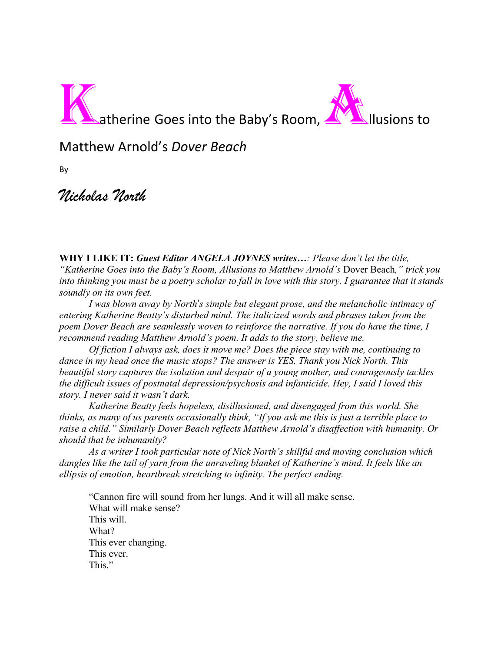

Matthew Arnold's *Dover Beach*

By

## *Nicholas North*

**WHY I LIKE IT:** *Guest Editor ANGELA JOYNES writes…: Please don't let the title, "Katherine Goes into the Baby's Room, Allusions to Matthew Arnold's* Dover Beach*," trick you into thinking you must be a poetry scholar to fall in love with this story. I guarantee that it stands soundly on its own feet.* 

*I was blown away by North*'*s simple but elegant prose, and the melancholic intimacy of entering Katherine Beatty's disturbed mind. The italicized words and phrases taken from the poem Dover Beach are seamlessly woven to reinforce the narrative. If you do have the time, I recommend reading Matthew Arnold's poem. It adds to the story, believe me.* 

*Of fiction I always ask, does it move me? Does the piece stay with me, continuing to dance in my head once the music stops? The answer is YES. Thank you Nick North. This beautiful story captures the isolation and despair of a young mother, and courageously tackles the difficult issues of postnatal depression/psychosis and infanticide. Hey, I said I loved this story. I never said it wasn't dark.* 

*Katherine Beatty feels hopeless, disillusioned, and disengaged from this world. She thinks, as many of us parents occasionally think, "If you ask me this is just a terrible place to raise a child." Similarly Dover Beach reflects Matthew Arnold's disaffection with humanity. Or should that be inhumanity?*

*As a writer I took particular note of Nick North's skillful and moving conclusion which dangles like the tail of yarn from the unraveling blanket of Katherine's mind. It feels like an ellipsis of emotion, heartbreak stretching to infinity. The perfect ending.*

"Cannon fire will sound from her lungs. And it will all make sense. What will make sense? This will. What? This ever changing. This ever. This."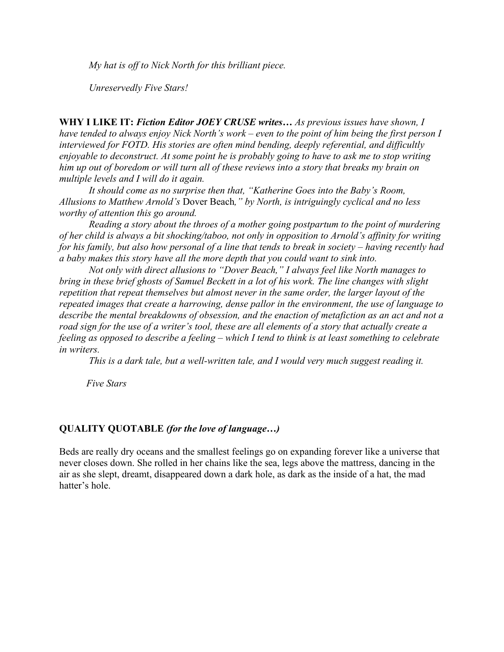*My hat is off to Nick North for this brilliant piece.*

*Unreservedly Five Stars!*

**WHY I LIKE IT:** *Fiction Editor JOEY CRUSE writes… As previous issues have shown, I have tended to always enjoy Nick North's work – even to the point of him being the first person I interviewed for FOTD. His stories are often mind bending, deeply referential, and difficultly enjoyable to deconstruct. At some point he is probably going to have to ask me to stop writing him up out of boredom or will turn all of these reviews into a story that breaks my brain on multiple levels and I will do it again.* 

*It should come as no surprise then that, "Katherine Goes into the Baby's Room, Allusions to Matthew Arnold's* Dover Beach*," by North, is intriguingly cyclical and no less worthy of attention this go around.* 

*Reading a story about the throes of a mother going postpartum to the point of murdering of her child is always a bit shocking/taboo, not only in opposition to Arnold's affinity for writing for his family, but also how personal of a line that tends to break in society – having recently had a baby makes this story have all the more depth that you could want to sink into.* 

*Not only with direct allusions to "Dover Beach," I always feel like North manages to bring in these brief ghosts of Samuel Beckett in a lot of his work. The line changes with slight repetition that repeat themselves but almost never in the same order, the larger layout of the repeated images that create a harrowing, dense pallor in the environment, the use of language to describe the mental breakdowns of obsession, and the enaction of metafiction as an act and not a road sign for the use of a writer's tool, these are all elements of a story that actually create a feeling as opposed to describe a feeling – which I tend to think is at least something to celebrate in writers.*

*This is a dark tale, but a well-written tale, and I would very much suggest reading it.* 

 *Five Stars*

## **QUALITY QUOTABLE** *(for the love of language…)*

Beds are really dry oceans and the smallest feelings go on expanding forever like a universe that never closes down. She rolled in her chains like the sea, legs above the mattress, dancing in the air as she slept, dreamt, disappeared down a dark hole, as dark as the inside of a hat, the mad hatter's hole.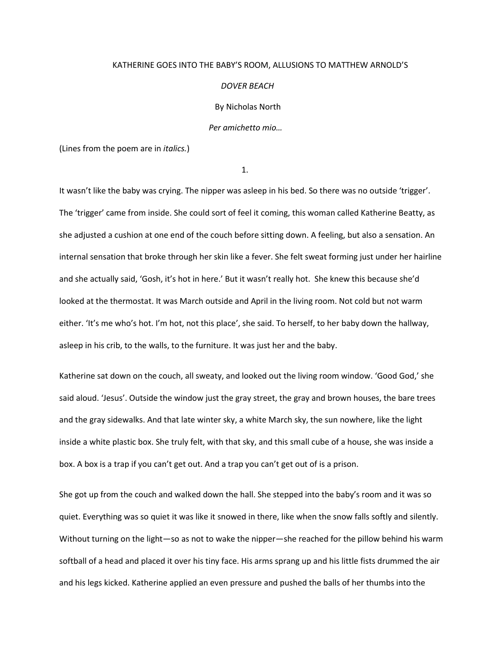## KATHERINE GOES INTO THE BABY'S ROOM, ALLUSIONS TO MATTHEW ARNOLD'S

*DOVER BEACH*

By Nicholas North

*Per amichetto mio…*

(Lines from the poem are in *italics.*)

1.

It wasn't like the baby was crying. The nipper was asleep in his bed. So there was no outside 'trigger'. The 'trigger' came from inside. She could sort of feel it coming, this woman called Katherine Beatty, as she adjusted a cushion at one end of the couch before sitting down. A feeling, but also a sensation. An internal sensation that broke through her skin like a fever. She felt sweat forming just under her hairline and she actually said, 'Gosh, it's hot in here.' But it wasn't really hot. She knew this because she'd looked at the thermostat. It was March outside and April in the living room. Not cold but not warm either. 'It's me who's hot. I'm hot, not this place', she said. To herself, to her baby down the hallway, asleep in his crib, to the walls, to the furniture. It was just her and the baby.

Katherine sat down on the couch, all sweaty, and looked out the living room window. 'Good God,' she said aloud. 'Jesus'. Outside the window just the gray street, the gray and brown houses, the bare trees and the gray sidewalks. And that late winter sky, a white March sky, the sun nowhere, like the light inside a white plastic box. She truly felt, with that sky, and this small cube of a house, she was inside a box. A box is a trap if you can't get out. And a trap you can't get out of is a prison.

She got up from the couch and walked down the hall. She stepped into the baby's room and it was so quiet. Everything was so quiet it was like it snowed in there, like when the snow falls softly and silently. Without turning on the light—so as not to wake the nipper—she reached for the pillow behind his warm softball of a head and placed it over his tiny face. His arms sprang up and his little fists drummed the air and his legs kicked. Katherine applied an even pressure and pushed the balls of her thumbs into the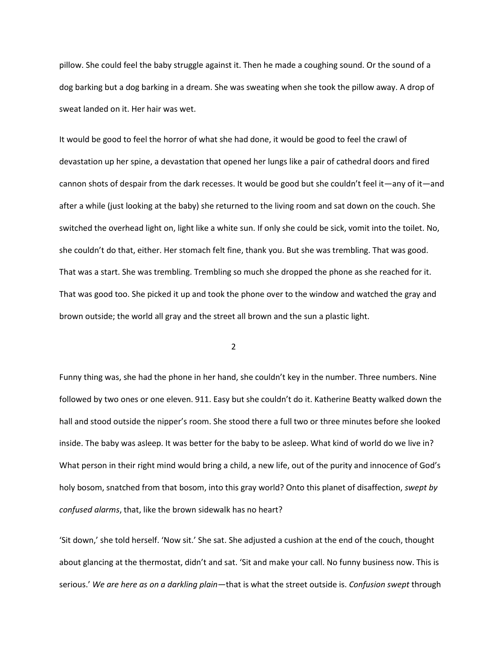pillow. She could feel the baby struggle against it. Then he made a coughing sound. Or the sound of a dog barking but a dog barking in a dream. She was sweating when she took the pillow away. A drop of sweat landed on it. Her hair was wet.

It would be good to feel the horror of what she had done, it would be good to feel the crawl of devastation up her spine, a devastation that opened her lungs like a pair of cathedral doors and fired cannon shots of despair from the dark recesses. It would be good but she couldn't feel it—any of it—and after a while (just looking at the baby) she returned to the living room and sat down on the couch. She switched the overhead light on, light like a white sun. If only she could be sick, vomit into the toilet. No, she couldn't do that, either. Her stomach felt fine, thank you. But she was trembling. That was good. That was a start. She was trembling. Trembling so much she dropped the phone as she reached for it. That was good too. She picked it up and took the phone over to the window and watched the gray and brown outside; the world all gray and the street all brown and the sun a plastic light.

2

Funny thing was, she had the phone in her hand, she couldn't key in the number. Three numbers. Nine followed by two ones or one eleven. 911. Easy but she couldn't do it. Katherine Beatty walked down the hall and stood outside the nipper's room. She stood there a full two or three minutes before she looked inside. The baby was asleep. It was better for the baby to be asleep. What kind of world do we live in? What person in their right mind would bring a child, a new life, out of the purity and innocence of God's holy bosom, snatched from that bosom, into this gray world? Onto this planet of disaffection, *swept by confused alarms*, that, like the brown sidewalk has no heart?

'Sit down,' she told herself. 'Now sit.' She sat. She adjusted a cushion at the end of the couch, thought about glancing at the thermostat, didn't and sat. 'Sit and make your call. No funny business now. This is serious.' *We are here as on a darkling plain*—that is what the street outside is. *Confusion swept* through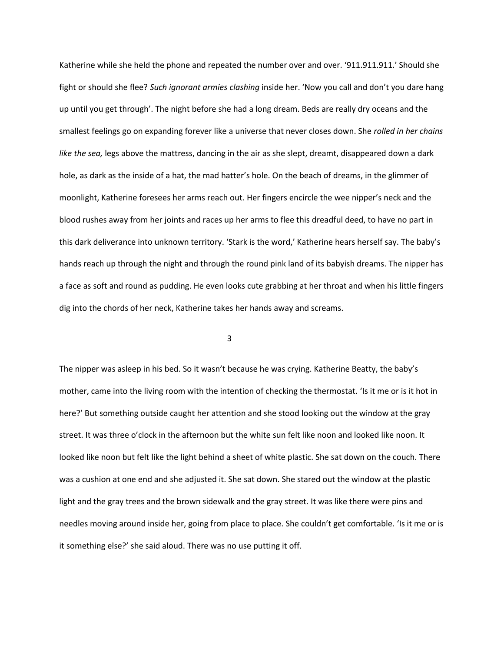Katherine while she held the phone and repeated the number over and over. '911.911.911.' Should she fight or should she flee? *Such ignorant armies clashing* inside her. 'Now you call and don't you dare hang up until you get through'. The night before she had a long dream. Beds are really dry oceans and the smallest feelings go on expanding forever like a universe that never closes down. She *rolled in her chains like the sea,* legs above the mattress, dancing in the air as she slept, dreamt, disappeared down a dark hole, as dark as the inside of a hat, the mad hatter's hole. On the beach of dreams, in the glimmer of moonlight, Katherine foresees her arms reach out. Her fingers encircle the wee nipper's neck and the blood rushes away from her joints and races up her arms to flee this dreadful deed, to have no part in this dark deliverance into unknown territory. 'Stark is the word,' Katherine hears herself say. The baby's hands reach up through the night and through the round pink land of its babyish dreams. The nipper has a face as soft and round as pudding. He even looks cute grabbing at her throat and when his little fingers dig into the chords of her neck, Katherine takes her hands away and screams.

 $\sim$  3

The nipper was asleep in his bed. So it wasn't because he was crying. Katherine Beatty, the baby's mother, came into the living room with the intention of checking the thermostat. 'Is it me or is it hot in here?' But something outside caught her attention and she stood looking out the window at the gray street. It was three o'clock in the afternoon but the white sun felt like noon and looked like noon. It looked like noon but felt like the light behind a sheet of white plastic. She sat down on the couch. There was a cushion at one end and she adjusted it. She sat down. She stared out the window at the plastic light and the gray trees and the brown sidewalk and the gray street. It was like there were pins and needles moving around inside her, going from place to place. She couldn't get comfortable. 'Is it me or is it something else?' she said aloud. There was no use putting it off.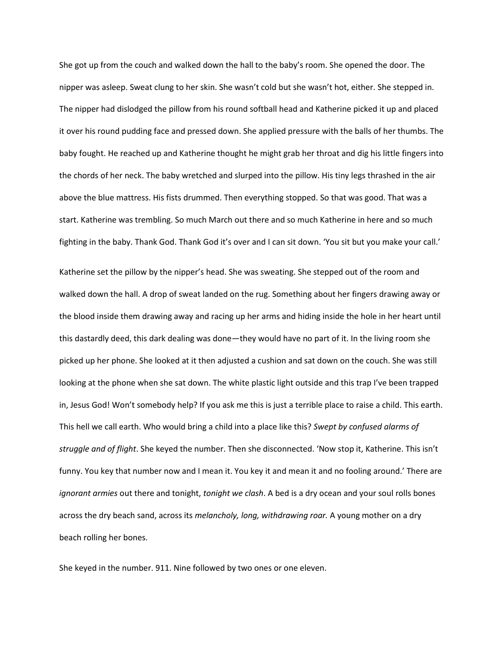She got up from the couch and walked down the hall to the baby's room. She opened the door. The nipper was asleep. Sweat clung to her skin. She wasn't cold but she wasn't hot, either. She stepped in. The nipper had dislodged the pillow from his round softball head and Katherine picked it up and placed it over his round pudding face and pressed down. She applied pressure with the balls of her thumbs. The baby fought. He reached up and Katherine thought he might grab her throat and dig his little fingers into the chords of her neck. The baby wretched and slurped into the pillow. His tiny legs thrashed in the air above the blue mattress. His fists drummed. Then everything stopped. So that was good. That was a start. Katherine was trembling. So much March out there and so much Katherine in here and so much fighting in the baby. Thank God. Thank God it's over and I can sit down. 'You sit but you make your call.'

Katherine set the pillow by the nipper's head. She was sweating. She stepped out of the room and walked down the hall. A drop of sweat landed on the rug. Something about her fingers drawing away or the blood inside them drawing away and racing up her arms and hiding inside the hole in her heart until this dastardly deed, this dark dealing was done—they would have no part of it. In the living room she picked up her phone. She looked at it then adjusted a cushion and sat down on the couch. She was still looking at the phone when she sat down. The white plastic light outside and this trap I've been trapped in, Jesus God! Won't somebody help? If you ask me this is just a terrible place to raise a child. This earth. This hell we call earth. Who would bring a child into a place like this? *Swept by confused alarms of struggle and of flight*. She keyed the number. Then she disconnected. 'Now stop it, Katherine. This isn't funny. You key that number now and I mean it. You key it and mean it and no fooling around.' There are *ignorant armies* out there and tonight, *tonight we clash*. A bed is a dry ocean and your soul rolls bones across the dry beach sand, across its *melancholy, long, withdrawing roar.* A young mother on a dry beach rolling her bones.

She keyed in the number. 911. Nine followed by two ones or one eleven.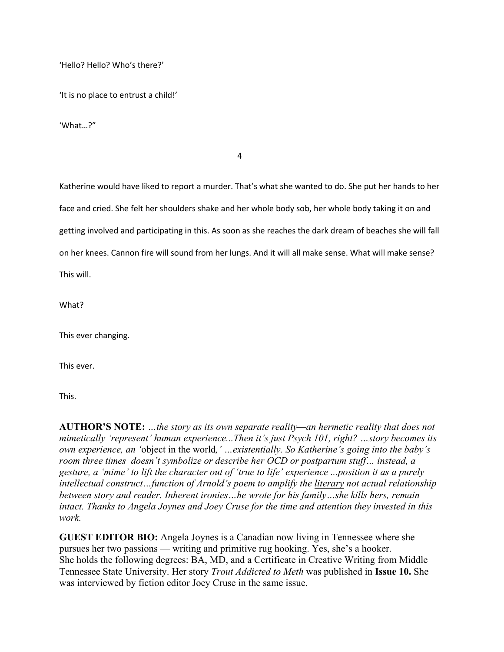'Hello? Hello? Who's there?'

'It is no place to entrust a child!'

'What…?"

4

Katherine would have liked to report a murder. That's what she wanted to do. She put her hands to her face and cried. She felt her shoulders shake and her whole body sob, her whole body taking it on and getting involved and participating in this. As soon as she reaches the dark dream of beaches she will fall on her knees. Cannon fire will sound from her lungs. And it will all make sense. What will make sense? This will.

What?

This ever changing.

This ever.

This.

**AUTHOR'S NOTE:** *…the story as its own separate reality—an hermetic reality that does not mimetically 'represent' human experience...Then it's just Psych 101, right? …story becomes its own experience, an '*object in the world*,' …existentially. So Katherine's going into the baby's room three times doesn't symbolize or describe her OCD or postpartum stuff… instead, a gesture, a 'mime' to lift the character out of 'true to life' experience ...position it as a purely intellectual construct…function of Arnold's poem to amplify the literary not actual relationship between story and reader. Inherent ironies…he wrote for his family…she kills hers, remain intact. Thanks to Angela Joynes and Joey Cruse for the time and attention they invested in this work.*

**GUEST EDITOR BIO:** Angela Joynes is a Canadian now living in Tennessee where she pursues her two passions — writing and primitive rug hooking. Yes, she's a hooker. She holds the following degrees: BA, MD, and a Certificate in Creative Writing from Middle Tennessee State University. Her story *Trout Addicted to Meth* was published in **Issue 10.** She was interviewed by fiction editor Joey Cruse in the same issue.